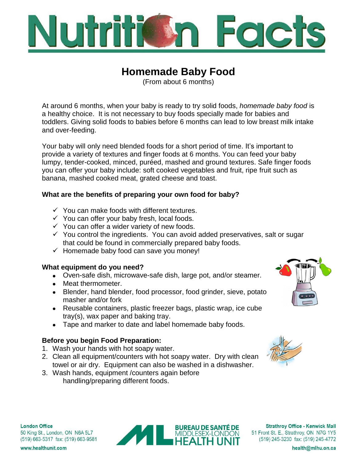

# **Homemade Baby Food**

(From about 6 months)

At around 6 months, when your baby is ready to try solid foods, *homemade baby food* is a healthy choice. It is not necessary to buy foods specially made for babies and toddlers. Giving solid foods to babies before 6 months can lead to low breast milk intake and over-feeding.

Your baby will only need blended foods for a short period of time. It's important to provide a variety of textures and finger foods at 6 months. You can feed your baby lumpy, tender-cooked, minced, puréed, mashed and ground textures. Safe finger foods you can offer your baby include: soft cooked vegetables and fruit, ripe fruit such as banana, mashed cooked meat, grated cheese and toast.

## **What are the benefits of preparing your own food for baby?**

- $\checkmark$  You can make foods with different textures.
- $\checkmark$  You can offer your baby fresh, local foods.
- $\checkmark$  You can offer a wider variety of new foods.
- $\checkmark$  You control the ingredients. You can avoid added preservatives, salt or sugar that could be found in commercially prepared baby foods.
- $\checkmark$  Homemade baby food can save you money!

## **What equipment do you need?**

- Oven-safe dish, microwave-safe dish, large pot, and/or steamer.
- Meat thermometer.
- Blender, hand blender, food processor, food grinder, sieve, potato masher and/or fork
- Reusable containers, plastic freezer bags, plastic wrap, ice cube tray(s), wax paper and baking tray.
- Tape and marker to date and label homemade baby foods.

## **Before you begin Food Preparation:**

- 1. Wash your hands with hot soapy water.
- 2. Clean all equipment/counters with hot soapy water. Dry with clean towel or air dry. Equipment can also be washed in a dishwasher.
- 3. Wash hands, equipment /counters again before handling/preparing different foods.







**Strathroy Office - Kenwick Mall** 51 Front St. E., Strathroy, ON N7G 1Y5 (519) 245-3230 fax: (519) 245-4772

**London Office** 50 King St., London, ON N6A 5L7 (519) 663-5317 fax: (519) 663-9581

www.healthunit.com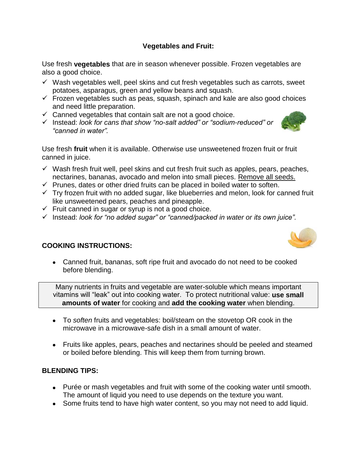## **Vegetables and Fruit:**

Use fresh **vegetables** that are in season whenever possible. Frozen vegetables are also a good choice.

- $\checkmark$  Wash vegetables well, peel skins and cut fresh vegetables such as carrots, sweet potatoes, asparagus, green and yellow beans and squash.
- $\checkmark$  Frozen vegetables such as peas, squash, spinach and kale are also good choices and need little preparation.
- $\checkmark$  Canned vegetables that contain salt are not a good choice.
- Instead: *look for cans that show "no-salt added" or "sodium-reduced" or "canned in water".*

Use fresh **fruit** when it is available. Otherwise use unsweetened frozen fruit or fruit canned in juice.

- $\checkmark$  Wash fresh fruit well, peel skins and cut fresh fruit such as apples, pears, peaches, nectarines, bananas, avocado and melon into small pieces. Remove all seeds.
- $\checkmark$  Prunes, dates or other dried fruits can be placed in boiled water to soften.
- $\checkmark$  Try frozen fruit with no added sugar, like blueberries and melon, look for canned fruit like unsweetened pears, peaches and pineapple.
- Fruit canned in sugar or syrup is not a good choice*.*
- Instead: *look for "no added sugar" or "canned/packed in water or its own juice".*

## **COOKING INSTRUCTIONS:**

 Canned fruit, bananas, soft ripe fruit and avocado do not need to be cooked before blending.

Many nutrients in fruits and vegetable are water-soluble which means important vitamins will "leak" out into cooking water. To protect nutritional value: **use small amounts of water** for cooking and **add the cooking water** when blending.

- To *soften* fruits and vegetables: boil/steam on the stovetop OR cook in the microwave in a microwave-safe dish in a small amount of water.
- Fruits like apples, pears, peaches and nectarines should be peeled and steamed or boiled before blending. This will keep them from turning brown.

## **BLENDING TIPS:**

- Purée or mash vegetables and fruit with some of the cooking water until smooth. The amount of liquid you need to use depends on the texture you want.
- Some fruits tend to have high water content, so you may not need to add liquid.



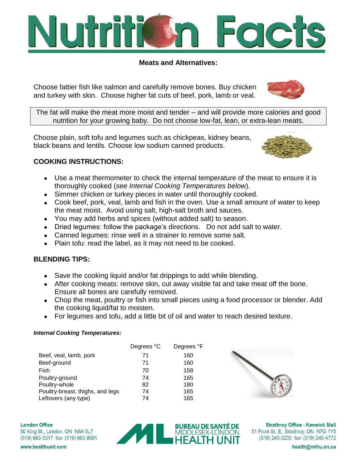

#### **Meats and Alternatives:**

Choose fattier fish like salmon and carefully remove bones. Buy chicken and turkey with skin. Choose higher fat cuts of beef, pork, lamb or veal.



The fat will make the meat more moist and tender – and will provide more calories and good nutrition for your growing baby. Do not choose low-fat, lean, or extra-lean meats.

Choose plain, soft tofu and legumes such as chickpeas, kidney beans, black beans and lentils. Choose low sodium canned products.



## **COOKING INSTRUCTIONS:**

- Use a meat thermometer to check the internal temperature of the meat to ensure it is thoroughly cooked (*see Internal Cooking Temperatures below*).
- Simmer chicken or turkey pieces in water until thoroughly cooked.
- Cook beef, pork, veal, lamb and fish in the oven. Use a small amount of water to keep the meat moist. Avoid using salt, high-salt broth and sauces.
- You may add herbs and spices (without added salt) to season.
- Dried legumes: follow the package's directions. Do not add salt to water.
- Canned legumes: rinse well in a strainer to remove some salt.
- Plain tofu: read the label, as it may not need to be cooked.

## **BLENDING TIPS:**

- Save the cooking liquid and/or fat drippings to add while blending.
- After cooking meats: remove skin, cut away visible fat and take meat off the bone. Ensure all bones are carefully removed.
- Chop the meat, poultry or fish into small pieces using a food processor or blender. Add the cooking liquid/fat to moisten.
- For legumes and tofu, add a little bit of oil and water to reach desired texture.

#### *Internal Cooking Temperatures:*

|                                  | Degrees °C | Degrees °F |
|----------------------------------|------------|------------|
| Beef, veal, lamb, pork           | 71         | 160        |
| Beef-ground                      | 71         | 160        |
| Fish                             | 70         | 158        |
| Poultry-ground                   | 74         | 165        |
| Poultry-whole                    | 82         | 180        |
| Poultry-breast, thighs, and legs | 74         | 165        |
| Leftovers (any type)             | 74         | 165        |



**London Office** 50 King St., London, ON N6A 5L7 (519) 663-5317 fax: (519) 663-9581



**Strathroy Office - Kenwick Mall** 51 Front St. E., Strathroy, ON N7G 1Y5 (519) 245-3230 fax: (519) 245-4772

www.healthunit.com

health@mlhu.on.ca